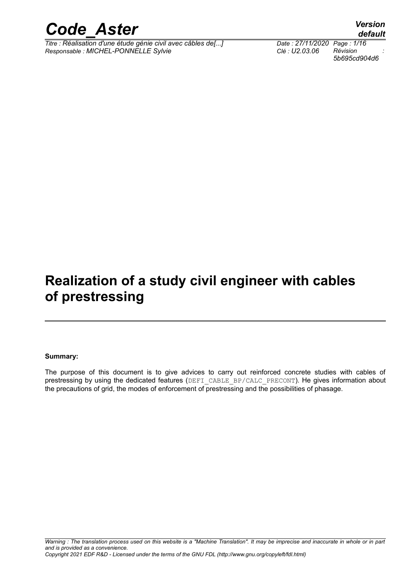

*Titre : Réalisation d'une étude génie civil avec câbles de[...] Date : 27/11/2020 Page : 1/16*<br> *Responsable : MICHEL-PONNELLE Sylvie Clé : U2.03.06 Révision Responsable : MICHEL-PONNELLE Sylvie Clé : U2.03.06 Révision :*

*5b695cd904d6*

### **Realization of a study civil engineer with cables of prestressing**

#### **Summary:**

The purpose of this document is to give advices to carry out reinforced concrete studies with cables of prestressing by using the dedicated features (DEFI\_CABLE\_BP/CALC\_PRECONT). He gives information about the precautions of grid, the modes of enforcement of prestressing and the possibilities of phasage.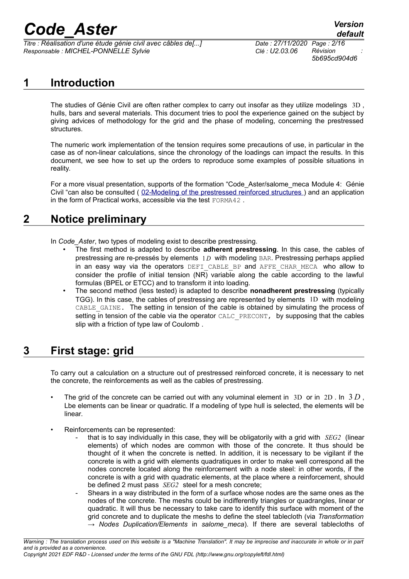*Titre : Réalisation d'une étude génie civil avec câbles de[...] Date : 27/11/2020 Page : 2/16 Responsable : MICHEL-PONNELLE Sylvie Clé : U2.03.06 Révision :*

*5b695cd904d6*

### **1 Introduction**

The studies of Génie Civil are often rather complex to carry out insofar as they utilize modelings 3D , hulls, bars and several materials. This document tries to pool the experience gained on the subject by giving advices of methodology for the grid and the phase of modeling, concerning the prestressed structures.

The numeric work implementation of the tension requires some precautions of use, in particular in the case as of non-linear calculations, since the chronology of the loadings can impact the results. In this document, we see how to set up the orders to reproduce some examples of possible situations in reality.

For a more visual presentation, supports of the formation "Code\_Aster/salome\_meca Module 4: Génie Civil "can also be consulted ( [02-Modeling of the prestressed reinforced structures](https://www.code-aster.org/V2/spip.php?action=dw2_out&id=2030) ) and an application in the form of Practical works, accessible via the test FORMA42 .

### **2 Notice preliminary**

In *Code* Aster, two types of modeling exist to describe prestressing.

- The first method is adapted to describe **adherent prestressing**. In this case, the cables of prestressing are re-pressés by elements 1 *D* with modeling BAR. Prestressing perhaps applied in an easy way via the operators DEFI CABLE BP and AFFE CHAR MECA who allow to consider the profile of initial tension (NR) variable along the cable according to the lawful formulas (BPEL or ETCC) and to transform it into loading.
- The second method (less tested) is adapted to describe **nonadherent prestressing** (typically TGG). In this case, the cables of prestressing are represented by elements 1D with modeling CABLE GAINE. The setting in tension of the cable is obtained by simulating the process of setting in tension of the cable via the operator CALC\_PRECONT, by supposing that the cables slip with a friction of type law of Coulomb .

### **3 First stage: grid**

To carry out a calculation on a structure out of prestressed reinforced concrete, it is necessary to net the concrete, the reinforcements as well as the cables of prestressing.

- The grid of the concrete can be carried out with any voluminal element in  $3D$  or in  $2D$ . In  $3D$ , Lbe elements can be linear or quadratic. If a modeling of type hull is selected, the elements will be linear.
- Reinforcements can be represented:
	- that is to say individually in this case, they will be obligatorily with a grid with *SEG2* (linear elements) of which nodes are common with those of the concrete. It thus should be thought of it when the concrete is netted. In addition, it is necessary to be vigilant if the concrete is with a grid with elements quadratiques in order to make well correspond all the nodes concrete located along the reinforcement with a node steel: in other words, if the concrete is with a grid with quadratic elements, at the place where a reinforcement, should be defined 2 must pass *SEG2* steel for a mesh concrete;
	- Shears in a way distributed in the form of a surface whose nodes are the same ones as the nodes of the concrete. The meshs could be indifferently triangles or quadrangles, linear or quadratic. It will thus be necessary to take care to identify this surface with moment of the grid concrete and to duplicate the meshs to define the steel tablecloth (via *Transformation → Nodes Duplication/Elements* in *salome\_meca*). If there are several tablecloths of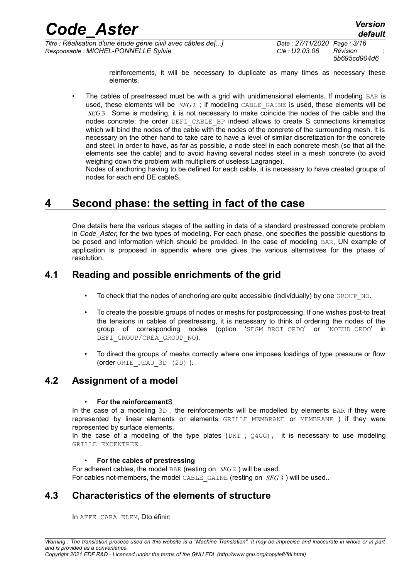*5b695cd904d6*

reinforcements, it will be necessary to duplicate as many times as necessary these elements.

The cables of prestressed must be with a grid with unidimensional elements. If modeling BAR is used, these elements will be *SEG* 2 ; if modeling CABLE\_GAINE is used, these elements will be *SEG* 3. Some is modeling, it is not necessary to make coincide the nodes of the cable and the nodes concrete: the order DEFI\_CABLE\_BP indeed allows to create S connections kinematics which will bind the nodes of the cable with the nodes of the concrete of the surrounding mesh. It is necessary on the other hand to take care to have a level of similar discretization for the concrete and steel, in order to have, as far as possible, a node steel in each concrete mesh (so that all the elements see the cable) and to avoid having several nodes steel in a mesh concrete (to avoid weighing down the problem with multipliers of useless Lagrange).

Nodes of anchoring having to be defined for each cable, it is necessary to have created groups of nodes for each end DE cableS.

### **4 Second phase: the setting in fact of the case**

One details here the various stages of the setting in data of a standard prestressed concrete problem in *Code\_Aster,* for the two types of modeling. For each phase, one specifies the possible questions to be posed and information which should be provided. In the case of modeling BAR, UN example of application is proposed in appendix where one gives the various alternatives for the phase of resolution.

### **4.1 Reading and possible enrichments of the grid**

- To check that the nodes of anchoring are quite accessible (individually) by one GROUP NO.
- To create the possible groups of nodes or meshs for postprocessing. If one wishes post-to treat the tensions in cables of prestressing, it is necessary to think of ordering the nodes of the group of corresponding nodes (option 'SEGM\_DROI\_ORDO' or 'NOEUD\_ORDO' in DEFI\_GROUP/CRÉA\_GROUP\_NO).
- To direct the groups of meshs correctly where one imposes loadings of type pressure or flow (order ORIE\_PEAU\_3D (2D) ).

### **4.2 Assignment of a model**

#### • **For the reinforcement**S

In the case of a modeling  $3D$ , the reinforcements will be modelled by elements  $BAR$  if they were represented by linear elements or elements GRILLE\_MEMBRANE or MEMBRANE ) if they were represented by surface elements.

In the case of a modeling of the type plates ( $DKT$ ,  $Q4GG$ ), it is necessary to use modeling GRILLE\_EXCENTREE .

#### • **For the cables of prestressing**

For adherent cables, the model BAR (resting on *SEG* 2 ) will be used. For cables not-members, the model CABLE\_GAINE (resting on *SEG* 3) will be used..

### **4.3 Characteristics of the elements of structure**

In AFFE\_CARA\_ELEM, Dto éfinir: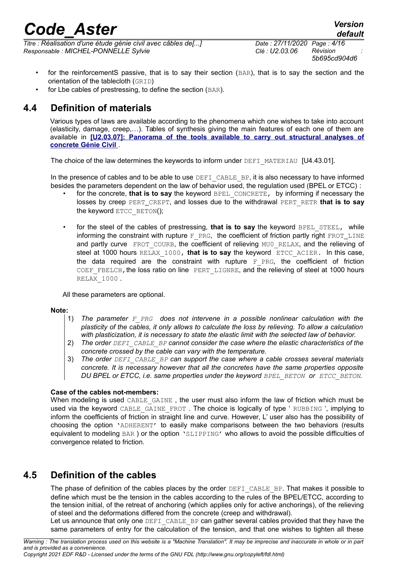*Titre : Réalisation d'une étude génie civil avec câbles de[...] Date : 27/11/2020 Page : 4/16 Responsable : MICHEL-PONNELLE Sylvie Clé : U2.03.06 Révision :*

- for the reinforcementS passive, that is to say their section (BAR), that is to say the section and the orientation of the tablecloth (GRID)
- for Lbe cables of prestressing, to define the section (BAR).

### **4.4 Definition of materials**

Various types of laws are available according to the phenomena which one wishes to take into account (elasticity, damage, creep,…). Tables of synthesis giving the main features of each one of them are available in **[\[U2.03.07\]: Panorama of the tools available to carry out structural analyses of](https://www.code-aster.org/V2/doc/default/fr/man_u/u2/u2.03.07.pdf)  [concrete Génie Civil](https://www.code-aster.org/V2/doc/default/fr/man_u/u2/u2.03.07.pdf)** .

The choice of the law determines the keywords to inform under DEFI\_MATERIAU [U4.43.01].

In the presence of cables and to be able to use DEFI CABLE BP, it is also necessary to have informed besides the parameters dependent on the law of behavior used, the regulation used (BPEL or ETCC) :

- for the concrete, **that is to say** the keyword BPEL CONCRETE, by informing if necessary the losses by creep PERT\_CREPT, and losses due to the withdrawal PERT\_RETR **that is to say** the keyword ETCC\_BETON();
- for the steel of the cables of prestressing, that is to say the keyword BPEL STEEL, while informing the constraint with rupture  $F$  PRG, the coefficient of friction partly right  $FROT_LINE$ and partly curve FROT COURB, the coefficient of relieving MU0 RELAX, and the relieving of steel at 1000 hours RELAX\_1000, **that is to say** the keyword ETCC\_ACIER. In this case, the data required are the constraint with rupture  $\overline{F}$  PRG, the coefficient of friction COEF FBELCH, the loss ratio on line PERT LIGNRE, and the relieving of steel at 1000 hours RELAX\_1000 .

All these parameters are optional.

#### **Note:**

- 1) *The parameter F\_PRG does not intervene in a possible nonlinear calculation with the plasticity of the cables, it only allows to calculate the loss by relieving. To allow a calculation with plasticization, it is necessary to state the elastic limit with the selected law of behavior.*
- 2) *The order DEFI\_CABLE\_BP cannot consider the case where the elastic characteristics of the concrete crossed by the cable can vary with the temperature.*
- 3) *The order DEFI\_CABLE\_BP can support the case where a cable crosses several materials concrete. It is necessary however that all the concretes have the same properties opposite DU BPEL or ETCC, i.e. same properties under the keyword BPEL\_BETON or ETCC\_BETON.*

#### **Case of the cables not-members:**

When modeling is used CABLE GAINE, the user must also inform the law of friction which must be used via the keyword CABLE\_GAINE\_FROT. The choice is logically of type ' RUBBING ', implying to inform the coefficients of friction in straight line and curve. However, L' user also has the possibility of choosing the option 'ADHERENT' to easily make comparisons between the two behaviors (results equivalent to modeling BAR ) or the option 'SLIPPING' who allows to avoid the possible difficulties of convergence related to friction.

#### **4.5 Definition of the cables**

The phase of definition of the cables places by the order DEFI\_CABLE\_BP. That makes it possible to define which must be the tension in the cables according to the rules of the BPEL/ETCC, according to the tension initial, of the retreat of anchoring (which applies only for active anchorings), of the relieving of steel and the deformations differed from the concrete (creep and withdrawal).

Let us announce that only one DEFI CABLE BP can gather several cables provided that they have the same parameters of entry for the calculation of the tension, and that one wishes to tighten all these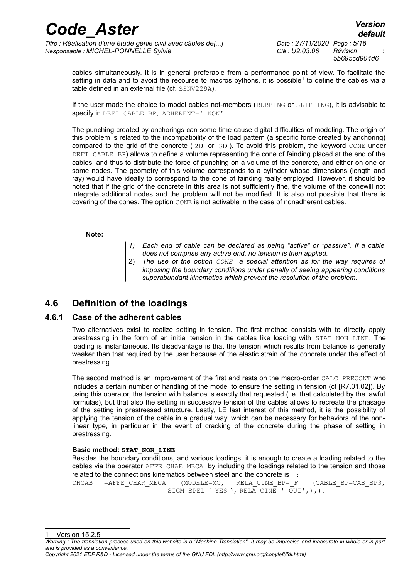*5b695cd904d6*

cables simultaneously. It is in general preferable from a performance point of view. To facilitate the setting in data and to avoid the recourse to macros pythons, it is possible<sup>[1](#page-4-0)</sup> to define the cables via a table defined in an external file (cf. SSNV229A).

If the user made the choice to model cables not-members (RUBBING or SLIPPING), it is advisable to specify in DEFI\_CABLE\_BP, ADHERENT=' NON'.

The punching created by anchorings can some time cause digital difficulties of modeling. The origin of this problem is related to the incompatibility of the load pattern (a specific force created by anchoring) compared to the grid of the concrete ( 2D or 3D ). To avoid this problem, the keyword CONE under DEFI CABLE BP) allows to define a volume representing the cone of fainding placed at the end of the cables, and thus to distribute the force of punching on a volume of the concrete, and either on one or some nodes. The geometry of this volume corresponds to a cylinder whose dimensions (length and ray) would have ideally to correspond to the cone of fainding really employed. However, it should be noted that if the grid of the concrete in this area is not sufficiently fine, the volume of the conewill not integrate additional nodes and the problem will not be modified. It is also not possible that there is covering of the cones. The option CONE is not activable in the case of nonadherent cables.

**Note:**

- *1) Each end of cable can be declared as being "active" or "passive". If a cable does not comprise any active end, no tension is then applied.*
- 2) *The use of the option CONE a special attention as for the way requires of imposing the boundary conditions under penalty of seeing appearing conditions superabundant kinematics which prevent the resolution of the problem.*

### **4.6 Definition of the loadings**

#### **4.6.1 Case of the adherent cables**

Two alternatives exist to realize setting in tension. The first method consists with to directly apply prestressing in the form of an initial tension in the cables like loading with STAT NON LINE. The loading is instantaneous. Its disadvantage is that the tension which results from balance is generally weaker than that required by the user because of the elastic strain of the concrete under the effect of prestressing.

The second method is an improvement of the first and rests on the macro-order CALC\_PRECONT who includes a certain number of handling of the model to ensure the setting in tension (cf [R7.01.02]). By using this operator, the tension with balance is exactly that requested (i.e. that calculated by the lawful formulas), but that also the setting in successive tension of the cables allows to recreate the phasage of the setting in prestressed structure. Lastly, LE last interest of this method, it is the possibility of applying the tension of the cable in a gradual way, which can be necessary for behaviors of the nonlinear type, in particular in the event of cracking of the concrete during the phase of setting in prestressing.

#### **Basic method: STAT\_NON\_LINE**

Besides the boundary conditions, and various loadings, it is enough to create a loading related to the cables via the operator AFFE\_CHAR\_MECA by including the loadings related to the tension and those related to the connections kinematics between steel and the concrete is :

CHCAB =AFFE\_CHAR\_MECA (MODELE=MO, RELA\_CINE\_BP=\_F (CABLE\_BP=CAB\_BP3, SIGM\_BPEL=' YES ', RELA CINE=' OUI',),).

<span id="page-4-0"></span>Version 15.2.5 *Warning : The translation process used on this website is a "Machine Translation". It may be imprecise and inaccurate in whole or in part*

*and is provided as a convenience. Copyright 2021 EDF R&D - Licensed under the terms of the GNU FDL (http://www.gnu.org/copyleft/fdl.html)*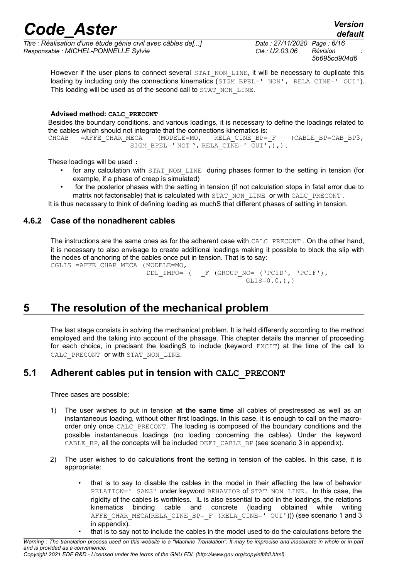*Titre : Réalisation d'une étude génie civil avec câbles de[...] Date : 27/11/2020 Page : 6/16 Responsable : MICHEL-PONNELLE Sylvie Clé : U2.03.06 Révision :*

*default 5b695cd904d6*

However if the user plans to connect several STAT\_NON\_LINE, it will be necessary to duplicate this loading by including only the connections kinematics (SIGM\_BPEL=' NON', RELA\_CINE=' OUI'). This loading will be used as of the second call to STAT\_NON\_LINE.

#### **Advised method: CALC\_PRECONT**

Besides the boundary conditions, and various loadings, it is necessary to define the loadings related to the cables which should not integrate that the connections kinematics is:

CHCAB =AFFE\_CHAR\_MECA (MODELE=MO, RELA\_CINE\_BP=\_F (CABLE\_BP=CAB\_BP3, SIGM\_BPEL=' NOT ', RELA\_CINE=' OUI',),).

These loadings will be used :

- for any calculation with STAT NON LINE during phases former to the setting in tension (for example, if a phase of creep is simulated)
- for the posterior phases with the setting in tension (if not calculation stops in fatal error due to matrix not factorisable) that is calculated with STAT\_NON\_LINE or with CALC\_PRECONT.

<span id="page-5-0"></span>It is thus necessary to think of defining loading as muchS that different phases of setting in tension.

#### **4.6.2 Case of the nonadherent cables**

The instructions are the same ones as for the adherent case with CALC\_PRECONT . On the other hand, it is necessary to also envisage to create additional loadings making it possible to block the slip with the nodes of anchoring of the cables once put in tension. That is to say: CGLIS =AFFE CHAR MECA (MODELE=MO,

```
DDL IMPO= ( F (GROUP NO= ('PC1D', 'PC1F'),
                       GLIS=0.0,),
```
### **5 The resolution of the mechanical problem**

The last stage consists in solving the mechanical problem. It is held differently according to the method employed and the taking into account of the phasage. This chapter details the manner of proceeding for each choice, in precisant the loadingS to include (keyword EXCIT) at the time of the call to CALC PRECONT or with STAT\_NON\_LINE.

#### **5.1 Adherent cables put in tension with CALC\_PRECONT**

Three cases are possible:

- 1) The user wishes to put in tension **at the same time** all cables of prestressed as well as an instantaneous loading, without other first loadings. In this case, it is enough to call on the macroorder only once CALC\_PRECONT. The loading is composed of the boundary conditions and the possible instantaneous loadings (no loading concerning the cables). Under the keyword CABLE BP, all the concepts will be included DEFI CABLE BP (see scenario 3 in appendix).
- 2) The user wishes to do calculations **front** the setting in tension of the cables. In this case, it is appropriate:
	- that is to say to disable the cables in the model in their affecting the law of behavior RELATION=' SANS' under keyword BEHAVIOR of STAT\_NON\_LINE. In this case, the rigidity of the cables is worthless. IL is also essential to add in the loadings, the relations kinematics binding cable and concrete (loading obtained while writing AFFE CHAR MECA(RELA CINE BP=  $F$  (RELA CINE=' OUI'))) (see scenario 1 and 3 in appendix).
		- that is to say not to include the cables in the model used to do the calculations before the

*Warning : The translation process used on this website is a "Machine Translation". It may be imprecise and inaccurate in whole or in part and is provided as a convenience.*

*Copyright 2021 EDF R&D - Licensed under the terms of the GNU FDL (http://www.gnu.org/copyleft/fdl.html)*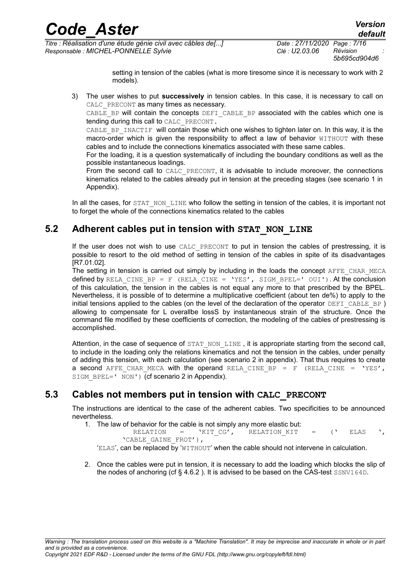*5b695cd904d6*

setting in tension of the cables (what is more tiresome since it is necessary to work with 2 models).

3) The user wishes to put **successively** in tension cables. In this case, it is necessary to call on CALC PRECONT as many times as necessary.

CABLE\_BP will contain the concepts DEFI\_CABLE\_BP associated with the cables which one is tending during this call to CALC\_PRECONT.

CABLE BP INACTIF will contain those which one wishes to tighten later on. In this way, it is the macro-order which is given the responsibility to affect a law of behavior WITHOUT with these cables and to include the connections kinematics associated with these same cables.

For the loading, it is a question systematically of including the boundary conditions as well as the possible instantaneous loadings.

From the second call to CALC PRECONT, it is advisable to include moreover, the connections kinematics related to the cables already put in tension at the preceding stages (see scenario 1 in Appendix).

In all the cases, for STAT\_NON\_LINE who follow the setting in tension of the cables, it is important not to forget the whole of the connections kinematics related to the cables

#### **5.2 Adherent cables put in tension with STAT\_NON\_LINE**

If the user does not wish to use CALC\_PRECONT to put in tension the cables of prestressing, it is possible to resort to the old method of setting in tension of the cables in spite of its disadvantages [R7.01.02].

The setting in tension is carried out simply by including in the loads the concept AFFE\_CHAR\_MECA defined by RELA\_CINE\_BP = F (RELA\_CINE = 'YES', SIGM\_BPEL='  $OUI'$ ). At the conclusion of this calculation, the tension in the cables is not equal any more to that prescribed by the BPEL. Nevertheless, it is possible of to determine a multiplicative coefficient (about ten de%) to apply to the initial tensions applied to the cables (on the level of the declaration of the operator  $DEFI$  CABLE BP) allowing to compensate for L overallbe lossS by instantaneous strain of the structure. Once the command file modified by these coefficients of correction, the modeling of the cables of prestressing is accomplished.

Attention, in the case of sequence of STAT\_NON\_LINE, it is appropriate starting from the second call, to include in the loading only the relations kinematics and not the tension in the cables, under penalty of adding this tension, with each calculation (see scenario 2 in appendix). That thus requires to create a second AFFE CHAR MECA with the operand RELA CINE BP = F (RELA CINE = 'YES', SIGM BPEL=' NON') (cf scenario 2 in Appendix).

#### **5.3 Cables not members put in tension with CALC\_PRECONT**

The instructions are identical to the case of the adherent cables. Two specificities to be announced nevertheless.

1. The law of behavior for the cable is not simply any more elastic but:

RELATION =  $'$ KIT CG', RELATION KIT = (' ELAS ', 'CABLE\_GAINE\_FROT'),

'ELAS', can be replaced by 'WITHOUT' when the cable should not intervene in calculation.

2. Once the cables were put in tension, it is necessary to add the loading which blocks the slip of the nodes of anchoring (cf  $\S$  4.6.2). It is advised to be based on the CAS-test  $SSNV164D$ .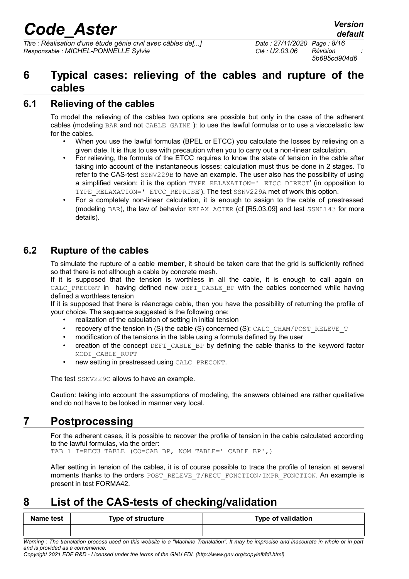*Titre : Réalisation d'une étude génie civil avec câbles de[...] Date : 27/11/2020 Page : 8/16 Responsable : MICHEL-PONNELLE Sylvie Clé : U2.03.06 Révision :*

*5b695cd904d6*

### **6 Typical cases: relieving of the cables and rupture of the cables**

#### **6.1 Relieving of the cables**

To model the relieving of the cables two options are possible but only in the case of the adherent cables (modeling BAR and not CABLE\_GAINE ): to use the lawful formulas or to use a viscoelastic law for the cables.

- When you use the lawful formulas (BPEL or ETCC) you calculate the losses by relieving on a given date. It is thus to use with precaution when you to carry out a non-linear calculation.
- For relieving, the formula of the ETCC requires to know the state of tension in the cable after taking into account of the instantaneous losses: calculation must thus be done in 2 stages. To refer to the CAS-test SSNV229B to have an example. The user also has the possibility of using a simplified version: it is the option TYPE\_RELAXATION=' ETCC\_DIRECT' (in opposition to TYPE\_RELAXATION='\_ETCC\_REPRISE'). The test SSNV229A met of work this option.
- For a completely non-linear calculation, it is enough to assign to the cable of prestressed (modeling BAR), the law of behavior RELAX\_ACIER (cf [R5.03.09] and test SSNL143 for more details).

### **6.2 Rupture of the cables**

To simulate the rupture of a cable **member**, it should be taken care that the grid is sufficiently refined so that there is not although a cable by concrete mesh.

If it is supposed that the tension is worthless in all the cable, it is enough to call again on CALC PRECONT in having defined new DEFI CABLE BP with the cables concerned while having defined a worthless tension

If it is supposed that there is réancrage cable, then you have the possibility of returning the profile of your choice. The sequence suggested is the following one:

- realization of the calculation of setting in initial tension
- recovery of the tension in (S) the cable (S) concerned (S): CALC\_CHAM/POST\_RELEVE\_T
- modification of the tensions in the table using a formula defined by the user
- creation of the concept DEFI\_CABLE\_BP by defining the cable thanks to the keyword factor MODI\_CABLE\_RUPT
- new setting in prestressed using CALC\_PRECONT.

The test SSNV229C allows to have an example.

Caution: taking into account the assumptions of modeling, the answers obtained are rather qualitative and do not have to be looked in manner very local.

### **7 Postprocessing**

For the adherent cases, it is possible to recover the profile of tension in the cable calculated according to the lawful formulas, via the order:

TAB\_1\_I=RECU\_TABLE (CO=CAB\_BP, NOM\_TABLE=' CABLE\_BP',)

After setting in tension of the cables, it is of course possible to trace the profile of tension at several moments thanks to the orders POST\_RELEVE\_T/RECU\_FONCTION/IMPR\_FONCTION. An example is present in test FORMA42.

### **8 List of the CAS-tests of checking/validation**

| Name test | Type of structure | <b>Type of validation</b> |
|-----------|-------------------|---------------------------|
|           |                   |                           |

*Warning : The translation process used on this website is a "Machine Translation". It may be imprecise and inaccurate in whole or in part and is provided as a convenience.*

*Copyright 2021 EDF R&D - Licensed under the terms of the GNU FDL (http://www.gnu.org/copyleft/fdl.html)*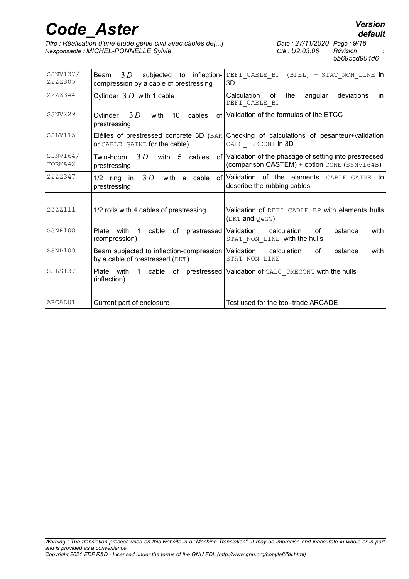*Titre : Réalisation d'une étude génie civil avec câbles de[...] Date : 27/11/2020 Page : 9/16 Responsable : MICHEL-PONNELLE Sylvie Clé : U2.03.06 Révision :*

*5b695cd904d6*

| SSNV137/<br>ZZZZ305 | 3D<br>subjected<br>inflection-<br>Beam<br>to<br>compression by a cable of prestressing | DEFI CABLE BP (BPEL) + STAT NON LINE in<br>3D                                                            |
|---------------------|----------------------------------------------------------------------------------------|----------------------------------------------------------------------------------------------------------|
| ZZZZ344             | Cylinder $3D$ with 1 cable                                                             | deviations<br>Calculation<br>angular<br>οf<br>the<br>in.<br>DEFI CABLE BP                                |
| SSNV229             | 3D<br>Cylinder<br>with<br>10<br>of l<br>cables<br>prestressing                         | Validation of the formulas of the ETCC                                                                   |
| SSLV115             | Elélies of prestressed concrete 3D (BAR)<br>OF CABLE GAINE for the cable)              | Checking of calculations of pesanteur+validation<br>CALC PRECONT in 3D                                   |
| SSNV164/<br>FORMA42 | 3D<br>with 5<br>Twin-boom<br>cables<br>prestressing                                    | of Validation of the phasage of setting into prestressed<br>(comparison CASTEM) + option CONE (SSNV164B) |
| ZZZZ347             | 3D<br>with a<br>cable<br>1/2<br>ring<br>in in<br>prestressing                          | of Validation of the elements CABLE GAINE<br>to<br>describe the rubbing cables.                          |
|                     |                                                                                        |                                                                                                          |
| ZZZZ111             | 1/2 rolls with 4 cables of prestressing                                                | Validation of DEFI CABLE BP with elements hulls<br>(DKT and Q4GG)                                        |
| SSNP108             | Plate<br>with<br>of prestressed<br>1<br>cable<br>(compression)                         | Validation<br>calculation<br>of<br>with<br>balance<br>STAT NON LINE with the hulls                       |
| SSNP109             | Beam subjected to inflection-compression<br>by a cable of prestressed (DKT)            | calculation<br>with<br>Validation<br>of<br>balance<br>STAT NON LINE                                      |
| SSLS137             | Plate with<br>1<br>(inflection)                                                        | cable of prestressed   Validation of CALC PRECONT with the hulls                                         |
|                     |                                                                                        |                                                                                                          |
| ARCAD01             | Current part of enclosure                                                              | Test used for the tool-trade ARCADE                                                                      |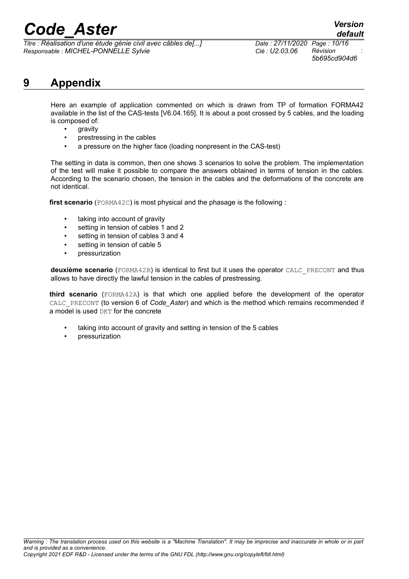*Titre : Réalisation d'une étude génie civil avec câbles de[...] Date : 27/11/2020 Page : 10/16 Responsable : MICHEL-PONNELLE Sylvie Clé : U2.03.06 Révision :*

*5b695cd904d6*

### **9 Appendix**

Here an example of application commented on which is drawn from TP of formation FORMA42 available in the list of the CAS-tests [V6.04.165]. It is about a post crossed by 5 cables, and the loading is composed of:

- gravity
- prestressing in the cables
- a pressure on the higher face (loading nonpresent in the CAS-test)

The setting in data is common, then one shows 3 scenarios to solve the problem. The implementation of the test will make it possible to compare the answers obtained in terms of tension in the cables. According to the scenario chosen, the tension in the cables and the deformations of the concrete are not identical.

**first scenario** (FORMA42C) is most physical and the phasage is the following :

- taking into account of gravity
- setting in tension of cables 1 and 2
- setting in tension of cables 3 and 4
- setting in tension of cable 5
- pressurization

**deuxième scenario** (FORMA42B) is identical to first but it uses the operator CALC\_PRECONT and thus allows to have directly the lawful tension in the cables of prestressing.

**third scenario** (FORMA42A) is that which one applied before the development of the operator CALC\_PRECONT (to version 6 of *Code\_Aster*) and which is the method which remains recommended if a model is used  $DKT$  for the concrete

- taking into account of gravity and setting in tension of the 5 cables
- pressurization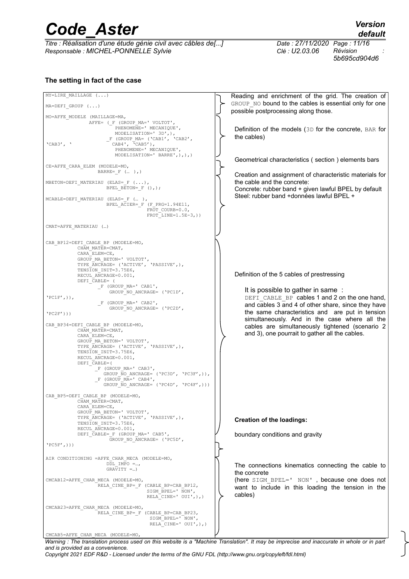*Titre : Réalisation d'une étude génie civil avec câbles de[...] Date : 27/11/2020 Page : 11/16 Responsable : MICHEL-PONNELLE Sylvie Clé : U2.03.06 Révision :*

*default*

*5b695cd904d6*

#### **The setting in fact of the case**

MY=LIRE\_MAILLAGE (...) MA=DEFI\_GROUP (...) MO=AFFE\_MODELE (MAILLAGE=MA, AFFE= (\_F (GROUP\_MA=' VOLTOT',<br>PHENOMENE=' MECANIQUE', PHENOMENE=' MECANIQUE', MODELISATION=' 3D',),  $F$  (GROUP\_MA= ('CAB1', 'CAB2', 'CAB3', ' CAB4', 'CAB5'), PHENOMENE=' MECANIQUE', MODELISATION=' BARRE',),),) CE=AFFE\_CARA\_ELEM (MODELE=MO, BARRE=  $F$  (... ),) MBETON=DEFI\_MATERIAU (ELAS=\_F (...), BPEL\_BETON=\_F (),); MCABLE=DEFI\_MATERIAU (ELAS=\_F (… ), BPEL ACIER= F (F PRG=1.94E11, FROT\_COURB=0.0,  $FROT-LINE=1.5E-3,$ )) CMAT=AFFE\_MATERIAU (…) CAB\_BP12=DEFI\_CABLE\_BP (MODELE=MO, CHAM\_MATER=CMAT, CARA\_ELEM=CE, GROUP MA BETON=' VOLTOT', TYPE ANCRAGE= ('ACTIVE', 'PASSIVE',), TENSION INIT=3.75E6, RECUL ANCRAGE=0.001 DEFI\_CABLE= (  $F$  (GROUP\_MA=' CAB1', GROUP NO ANCRAGE= ('PC1D',  $'PC1F'$ , $)$ ,  $F$  (GROUP\_MA=' CAB2', GROUP NO ANCRAGE= ('PC2D',  $'PC2F'$ ))) CAB\_BP34=DEFI\_CABLE\_BP (MODELE=MO, CHAM\_MATER=CMAT, CARA\_ELEM=CE, GROUP\_MA\_BETON=' VOLTOT', TYPE\_ANCRAGE= ('ACTIVE', 'PASSIVE',), TENSTON\_INIT=3.75E6. RECUL ANCRAGE=0.001, DEFI<sup>CABLE=(</sup> \_F (GROUP\_MA=' CAB3', GROUP\_NO\_ANCRAGE= ('PC3D', 'PC3F',)),  $-F$  (GROUP  $M = '$  CAB4', GROUP\_NO\_ANCRAGE= ('PC4D', 'PC4F',))) CAB\_BP5=DEFI\_CABLE\_BP (MODELE=MO, CHAM\_MATER=CMAT, CARA\_ELEM=CE, GROUP\_MA\_BETON=' VOLTOT', TYPE\_ANCRAGE= ('ACTIVE', 'PASSIVE',), TENSION INIT=3.75E6, RECUL ANCRAGE=0.001, DEFI<sup>CABLE=</sup> F (GROUP MA=' CAB5', GROUP NO ANCRAGE= ('PC5D',  $'PC5F'$ , $)$ ) AIR CONDITIONING =AFFE CHAR MECA (MODELE=MO,  $DDL$  IMPO =...,  $GRAYITY = .$ CMCAB12=AFFE\_CHAR\_MECA (MODELE=MO, RELA\_CINE\_BP=\_F (CABLE\_BP=CAB\_BP12, SIGM\_BPEL=' NON', RELA<sup>CINE=' OUI',),)</sup> CMCAB23=AFFE\_CHAR\_MECA (MODELE=MO, RELA\_CINE\_BP=\_F (CABLE\_BP=CAB\_BP23, SIGM\_BPEL=' NON', RELA CINE=' OUI',),) CMCAB5=AFFE\_CHAR\_MECA (MODELE=MO, Reading and enrichment of the grid. The creation of GROUP\_NO bound to the cables is essential only for one possible postprocessing along those. Definition of the models (3D for the concrete, BAR for the cables) Geometrical characteristics ( section ) elements bars Creation and assignment of characteristic materials for the cable and the concrete: Concrete: rubber band + given lawful BPEL by default Steel: rubber band +données lawful BPEL + Definition of the 5 cables of prestressing It is possible to gather in same : DEFI CABLE BP cables 1 and 2 on the one hand, and cables 3 and 4 of other share, since they have the same characteristics and are put in tension simultaneously. And in the case where all the cables are simultaneously tightened (scenario 2 and 3), one pourrait to gather all the cables. **Creation of the loadings:** boundary conditions and gravity The connections kinematics connecting the cable to the concrete (here SIGM\_BPEL=' NON' , because one does not want to include in this loading the tension in the cables) *Warning : The translation process used on this website is a "Machine Translation". It may be imprecise and inaccurate in whole or in part*

*and is provided as a convenience.*

*Copyright 2021 EDF R&D - Licensed under the terms of the GNU FDL (http://www.gnu.org/copyleft/fdl.html)*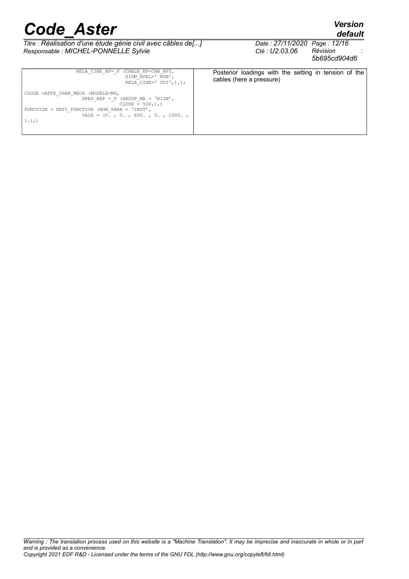*default*

*Titre : Réalisation d'une étude génie civil avec câbles de[...] Date : 27/11/2020 Page : 12/16*<br>*Responsable : MICHEL-PONNELLE Sylvie Clé : U2.03.06 Révision Responsable : MICHEL-PONNELLE Sylvie Clé : U2.03.06 Révision :*

*5b695cd904d6*

| RELA CINE BP= F (CABLE BP=CAB BP5,<br>SIGM BPEL=' NON',<br>RELA CINE=' $OUT',$ ), );                                                                                                     | Posterior loadings with the setting in tension of the<br>cables (here a pressure) |
|------------------------------------------------------------------------------------------------------------------------------------------------------------------------------------------|-----------------------------------------------------------------------------------|
| CLOSE =AFFE CHAR MECA (MODELE=MO,<br>PRES REP = $F$ (GROUP MA = 'HIGH',<br>$CLOSE = 500, ), )$<br>FUNCTION = DEFI FONCTION (NOM PARA = $'INST'$ ,<br>VALE = $(0, 0, 0, 600, 0, 1000, 0)$ |                                                                                   |
| $1.)$ , $)$                                                                                                                                                                              |                                                                                   |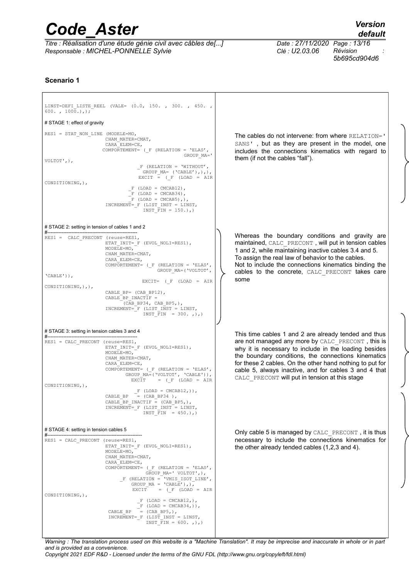*Titre : Réalisation d'une étude génie civil avec câbles de[...] Date : 27/11/2020 Page : 13/16 Responsable : MICHEL-PONNELLE Sylvie Clé : U2.03.06 Révision :*

*default*

*5b695cd904d6*

#### **Scenario 1**

| LINST=DEFI LISTE REEL (VALE= $(0.0, 150. , 300. , 450. ,$<br>$600.$ , $1000.$ ), ; |                                                                                                                                                                                                                                                                                                                                                                                      |                                                                                                                                                                                                                                                                                                                                          |
|------------------------------------------------------------------------------------|--------------------------------------------------------------------------------------------------------------------------------------------------------------------------------------------------------------------------------------------------------------------------------------------------------------------------------------------------------------------------------------|------------------------------------------------------------------------------------------------------------------------------------------------------------------------------------------------------------------------------------------------------------------------------------------------------------------------------------------|
| # STAGE 1: effect of gravity                                                       |                                                                                                                                                                                                                                                                                                                                                                                      |                                                                                                                                                                                                                                                                                                                                          |
| $RES1 = STRN$ NON LINE (MODELE=MO,                                                 | CHAM MATER=CMAT,<br>CARA ELEM=CE,<br>COMPORTEMENT= $(F (RELATION = 'ELAS',$<br>GROUP MA='                                                                                                                                                                                                                                                                                            | The cables do not intervene: from where RELATION='<br>SANS', but as they are present in the model, one<br>includes the connections kinematics with regard to                                                                                                                                                                             |
| VOLTOT', $)$ ,                                                                     | $F$ (RELATION = 'WITHOUT',<br>GROUP $MA=$ ('CABLE'),),),<br>EXCIT = $(\_F \t(LOAD = AIR$                                                                                                                                                                                                                                                                                             | them (if not the cables "fall").                                                                                                                                                                                                                                                                                                         |
| CONDITIONING, ),                                                                   | $F (LOAD = CMCAB12)$ ,<br>$F (LOAD = CMCAB34)$ ,<br>$F (LOAD = CMCAB5)$ , $,$<br>INCREMENT= F (LIST INST = LINST,<br>INST FIN = $150.$ ), )                                                                                                                                                                                                                                          |                                                                                                                                                                                                                                                                                                                                          |
| # STAGE 2: setting in tension of cables 1 and 2                                    |                                                                                                                                                                                                                                                                                                                                                                                      |                                                                                                                                                                                                                                                                                                                                          |
| $RES1 = CALC PRECONT (reuse=RES1,$                                                 | ETAT INIT= $F$ (EVOL NOLI=RES1),<br>MODELE=MO,<br>CHAM MATER=CMAT,<br>CARA ELEM=CE,<br>COMPORTEMENT= $($ F $(RELATION = 'ELAS', )$<br>GROUP MA=('VOLTOT',                                                                                                                                                                                                                            | Whereas the boundary conditions and gravity are<br>maintained, CALC PRECONT, will put in tension cables<br>1 and 2, while maintaining inactive cables 3.4 and 5.<br>To assign the real law of behavior to the cables.<br>Not to include the connections kinematics binding the                                                           |
| $'CABLE'$ )),                                                                      | EXCIT= $(F (LOAD = AIR$                                                                                                                                                                                                                                                                                                                                                              | cables to the concrete, CALC PRECONT takes care<br>some                                                                                                                                                                                                                                                                                  |
| CONDITIONING, ), ),                                                                | CABLE BP= (CAB BP12),<br>CABLE BP INACTIF =<br>(CAB BP34, CAB BP5,),<br>INCREMENT= F (LIST INST = LINST,<br>INST FIN = $300.$ , $)$ , $)$                                                                                                                                                                                                                                            |                                                                                                                                                                                                                                                                                                                                          |
| # STAGE 3: setting in tension cables 3 and 4                                       |                                                                                                                                                                                                                                                                                                                                                                                      | This time cables 1 and 2 are already tended and thus                                                                                                                                                                                                                                                                                     |
| #-----<br>$RES1 = CALC PRECONT (reuse=RES1,$                                       | ETAT INIT= F (EVOL NOLI=RES1),<br>MODELE=MO,<br>CHAM MATER=CMAT,<br>CARA ELEM=CE,<br>COMPORTEMENT= $(F (RELATION = 'ELAS',$<br>GROUP MA=('VOLTOT', 'CABLE')),<br>EXCIT = $(F (LOAD = AIR)$                                                                                                                                                                                           | are not managed any more by CALC PRECONT, this is<br>why it is necessary to include in the loading besides<br>the boundary conditions, the connections kinematics<br>for these 2 cables. On the other hand nothing to put for<br>cable 5, always inactive, and for cables 3 and 4 that<br>CALC PRECONT will put in tension at this stage |
| CONDITIONING, ),                                                                   | $F (LOAD = CMCAB12,))$ ,<br>CABLE BP = $(CAB BP34)$ ,<br>CABLE BP INACTIF = $(CAB BP5, )$ ,<br>INCREMENT= F (LIST INST = LINST,<br>INST FIN = $450.$ ),)                                                                                                                                                                                                                             |                                                                                                                                                                                                                                                                                                                                          |
| # STAGE 4: setting in tension cables 5                                             |                                                                                                                                                                                                                                                                                                                                                                                      | Only cable 5 is managed by CALC PRECONT, it is thus                                                                                                                                                                                                                                                                                      |
| $RES1 = CALC_PRECONT (reuse=RES1,$<br>CONDITIONING, ),                             | ETAT $INT = F$ (EVOL_NOLI=RES1),<br>MODELE=MO,<br>CHAM MATER=CMAT,<br>CARA ELEM=CE,<br>COMPORTEMENT= $($ F $(RELATION = 'ELAS',$<br>GROUP MA=' VOLTOT', ),<br>$F$ (RELATION = 'VMIS ISOT LINE',<br>GROUP $MA = 'CABLE'),$ ,),<br>EXCIT = $(F (LOAD = AIR$<br>$F (LOAD = CMCAB12, ),$<br>$F (LOAD = CMCAB34,))$ ,<br>$= (CAB BP5, ),$<br>CABLE BP<br>INCREMENT= F (LIST INST = LINST, | necessary to include the connections kinematics for<br>the other already tended cables (1,2,3 and 4).                                                                                                                                                                                                                                    |
|                                                                                    | INST FIN = $600.$ , $)$ , $)$                                                                                                                                                                                                                                                                                                                                                        |                                                                                                                                                                                                                                                                                                                                          |

*Warning : The translation process used on this website is a "Machine Translation". It may be imprecise and inaccurate in whole or in part and is provided as a convenience.*

*Copyright 2021 EDF R&D - Licensed under the terms of the GNU FDL (http://www.gnu.org/copyleft/fdl.html)*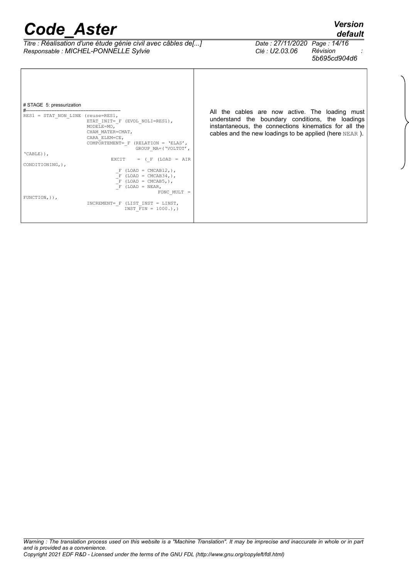#----------------------------------------------------------- RES1 = STAT\_NON\_LINE (reuse=RES1,

MODELE=MO,

ETAT\_INIT=\_F (EVOL\_NOLI=RES1),

 $\begin{array}{rcl} \n-F & (\text{LOAD} = \text{CMCAB5},), \\
-F & (\text{LOAD} = \text{NEAR},),\n\end{array}$ 

INCREMENT=\_F (LIST\_INST = LINST,<br>INST FIN = 1000.),)

 CHAM\_MATER=CMAT, CARA\_ELEM=CE,

COMPORTEMENT=\_F (RELATION = 'ELAS',

GROUP\_MA=('VOLTOT',

FONC\_MULT =

EXCIT  $=$  ( $_F$  (LOAD = AIR

 $-F$  (LOAD = CMCAB12,),  $-F$  (LOAD = CMCAB34,),

# STAGE 5: pressurization

'CABLE)),

CONDITIONING,),

FUNCTION,)),

*Titre : Réalisation d'une étude génie civil avec câbles de[...] Date : 27/11/2020 Page : 14/16*<br>*Responsable : MICHEL-PONNELLE Sylvie Clé : U2.03.06 Révision Responsable : MICHEL-PONNELLE Sylvie Clé : U2.03.06 Révision :*

# All the cables are now active. The loading must

*default*

*5b695cd904d6*

understand the boundary conditions, the loadings instantaneous, the connections kinematics for all the cables and the new loadings to be applied (here NEAR ).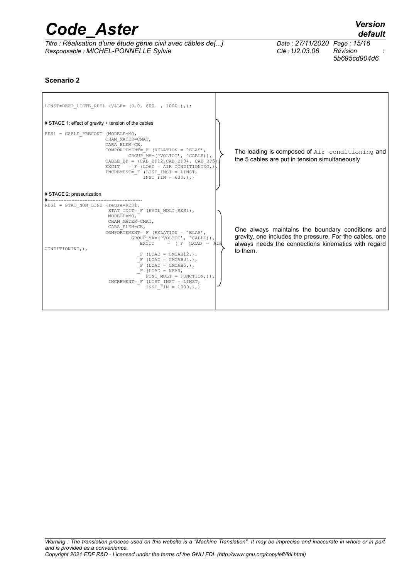| <b>Code Aster</b>                                                                                    |                                                | <b>Version</b><br>default |
|------------------------------------------------------------------------------------------------------|------------------------------------------------|---------------------------|
| Titre : Réalisation d'une étude génie civil avec câbles de[]<br>Responsable : MICHEL-PONNELLE Sylvie | Date: 27/11/2020 Page: 15/16<br>Clé : U2.03.06 | Révision<br>5b695cd904d6  |
| Scenario 2                                                                                           |                                                |                           |

 $\overline{1}$ 

|                                                         | LINST=DEFI LISTE REEL (VALE= $(0.0, 600. , 1000. ), )$ ;                                                                                                                                                                                                                                                                                                                                                                                           |                                                                                                                                                                                |
|---------------------------------------------------------|----------------------------------------------------------------------------------------------------------------------------------------------------------------------------------------------------------------------------------------------------------------------------------------------------------------------------------------------------------------------------------------------------------------------------------------------------|--------------------------------------------------------------------------------------------------------------------------------------------------------------------------------|
| # STAGE 1: effect of gravity + tension of the cables    |                                                                                                                                                                                                                                                                                                                                                                                                                                                    |                                                                                                                                                                                |
| RES1 = CABLE PRECONT (MODELE=MO,                        | CHAM MATER=CMAT,<br>CARA ELEM=CE,<br>COMPORTEMENT= $F$ (RELATION = 'ELAS',<br>GROUP MA=('VOLTOT', 'CABLE)),<br>CABLE BP = $(CAB BP12, CAB BP34, CAB BP5)$<br>EXCIT = $F$ (LOAD = AIR CONDITIONING, )<br>INCREMENT= F (LIST INST = LINST,<br>INST FIN = $600.$ ),)                                                                                                                                                                                  | The loading is composed of Air conditioning and<br>the 5 cables are put in tension simultaneously                                                                              |
| # STAGE 2: pressurization                               |                                                                                                                                                                                                                                                                                                                                                                                                                                                    |                                                                                                                                                                                |
| $RES1 = STAT NON LINE (reuse=RES1,$<br>CONDITIONING, ), | ETAT INIT= F (EVOL NOLI=RES1),<br>MODELE=MO,<br>CHAM MATER=CMAT,<br>CARA ELEM=CE,<br>COMPORTEMENT= $F$ (RELATION = 'ELAS',<br>GROUP MA=('VOLTOT', 'CABLE)),<br>$=$ ( F (LOAD = $\overline{A}$ IR<br>EXCIT<br>$F (LOAD = CMCAB12, ),$<br>$F (LOAD = CMCAB34, )$ ,<br>$F (LOAD = CMCAB5, ),$<br>$F$ (LOAD = NEAR,<br>FONC MULT = $FUNCTION, )$ ,<br>$\texttt{INCREMENT}=\_F \ \ \texttt{(LIST\_INST}\ =\ \texttt{LINST},$<br>INST FIN = $1000.$ ), ) | One always maintains the boundary conditions and<br>gravity, one includes the pressure. For the cables, one<br>always needs the connections kinematics with regard<br>to them. |